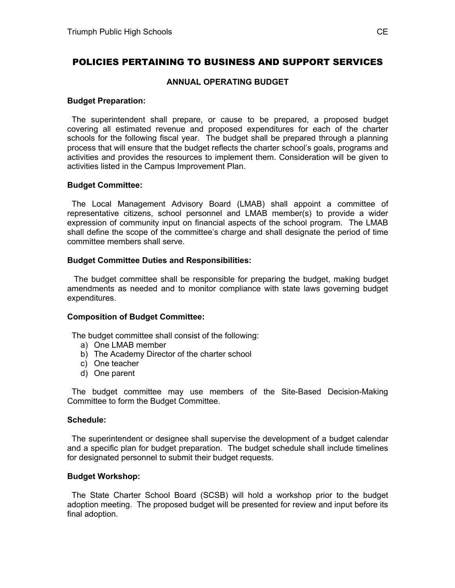# POLICIES PERTAINING TO BUSINESS AND SUPPORT SERVICES

## **ANNUAL OPERATING BUDGET**

### **Budget Preparation:**

 The superintendent shall prepare, or cause to be prepared, a proposed budget covering all estimated revenue and proposed expenditures for each of the charter schools for the following fiscal year. The budget shall be prepared through a planning process that will ensure that the budget reflects the charter school's goals, programs and activities and provides the resources to implement them. Consideration will be given to activities listed in the Campus Improvement Plan.

## **Budget Committee:**

 The Local Management Advisory Board (LMAB) shall appoint a committee of representative citizens, school personnel and LMAB member(s) to provide a wider expression of community input on financial aspects of the school program. The LMAB shall define the scope of the committee's charge and shall designate the period of time committee members shall serve.

## **Budget Committee Duties and Responsibilities:**

 The budget committee shall be responsible for preparing the budget, making budget amendments as needed and to monitor compliance with state laws governing budget expenditures.

#### **Composition of Budget Committee:**

The budget committee shall consist of the following:

- a) One LMAB member
- b) The Academy Director of the charter school
- c) One teacher
- d) One parent

 The budget committee may use members of the Site-Based Decision-Making Committee to form the Budget Committee.

#### **Schedule:**

 The superintendent or designee shall supervise the development of a budget calendar and a specific plan for budget preparation. The budget schedule shall include timelines for designated personnel to submit their budget requests.

# **Budget Workshop:**

 The State Charter School Board (SCSB) will hold a workshop prior to the budget adoption meeting. The proposed budget will be presented for review and input before its final adoption.